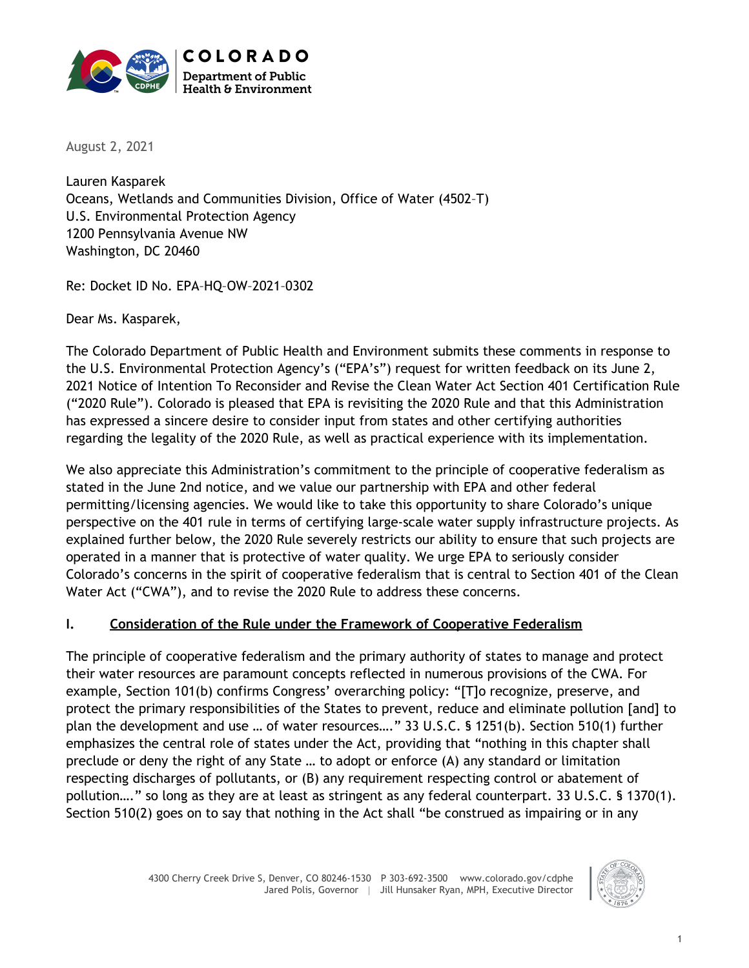

August 2, 2021

Lauren Kasparek Oceans, Wetlands and Communities Division, Office of Water (4502–T) U.S. Environmental Protection Agency 1200 Pennsylvania Avenue NW Washington, DC 20460

Re: Docket ID No. EPA–HQ–OW–2021–0302

Dear Ms. Kasparek,

The Colorado Department of Public Health and Environment submits these comments in response to the U.S. Environmental Protection Agency's ("EPA's") request for written feedback on its June 2, 2021 Notice of Intention To Reconsider and Revise the Clean Water Act Section 401 Certification Rule ("2020 Rule"). Colorado is pleased that EPA is revisiting the 2020 Rule and that this Administration has expressed a sincere desire to consider input from states and other certifying authorities regarding the legality of the 2020 Rule, as well as practical experience with its implementation.

We also appreciate this Administration's commitment to the principle of cooperative federalism as stated in the June 2nd notice, and we value our partnership with EPA and other federal permitting/licensing agencies. We would like to take this opportunity to share Colorado's unique perspective on the 401 rule in terms of certifying large-scale water supply infrastructure projects. As explained further below, the 2020 Rule severely restricts our ability to ensure that such projects are operated in a manner that is protective of water quality. We urge EPA to seriously consider Colorado's concerns in the spirit of cooperative federalism that is central to Section 401 of the Clean Water Act ("CWA"), and to revise the 2020 Rule to address these concerns.

## **I. Consideration of the Rule under the Framework of Cooperative Federalism**

The principle of cooperative federalism and the primary authority of states to manage and protect their water resources are paramount concepts reflected in numerous provisions of the CWA. For example, Section 101(b) confirms Congress' overarching policy: "[T]o recognize, preserve, and protect the primary responsibilities of the States to prevent, reduce and eliminate pollution [and] to plan the development and use … of water resources…." 33 U.S.C. § 1251(b). Section 510(1) further emphasizes the central role of states under the Act, providing that "nothing in this chapter shall preclude or deny the right of any State … to adopt or enforce (A) any standard or limitation respecting discharges of pollutants, or (B) any requirement respecting control or abatement of pollution…." so long as they are at least as stringent as any federal counterpart. 33 U.S.C. § 1370(1). Section 510(2) goes on to say that nothing in the Act shall "be construed as impairing or in any

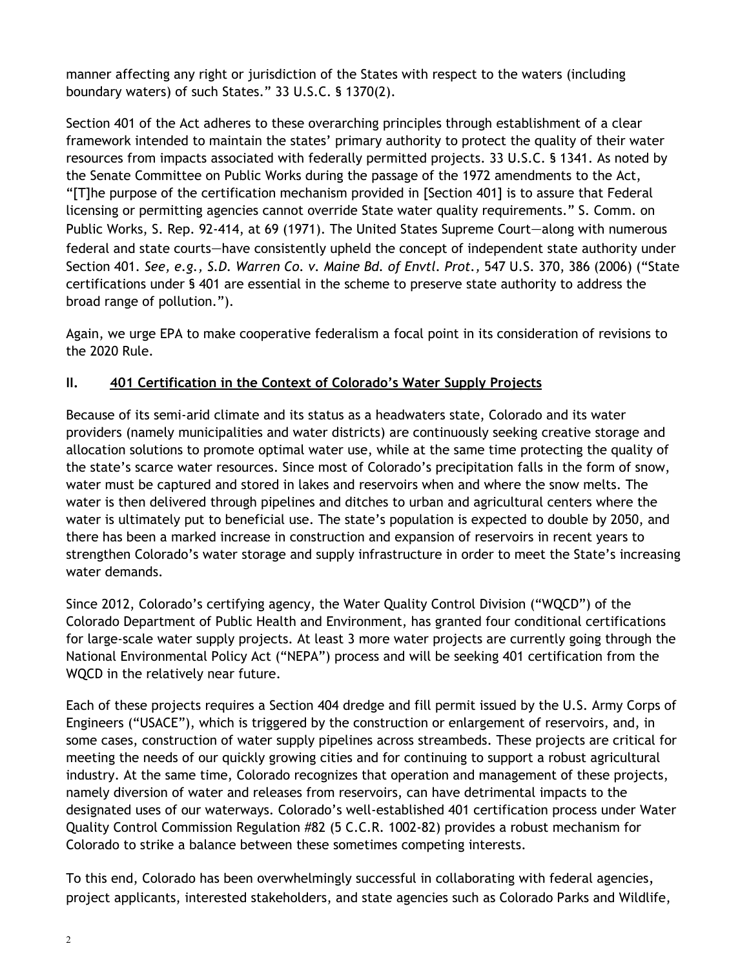manner affecting any right or jurisdiction of the States with respect to the waters (including boundary waters) of such States." 33 U.S.C. § 1370(2).

Section 401 of the Act adheres to these overarching principles through establishment of a clear framework intended to maintain the states' primary authority to protect the quality of their water resources from impacts associated with federally permitted projects. 33 U.S.C. § 1341. As noted by the Senate Committee on Public Works during the passage of the 1972 amendments to the Act, "[T]he purpose of the certification mechanism provided in [Section 401] is to assure that Federal licensing or permitting agencies cannot override State water quality requirements." S. Comm. on Public Works, S. Rep. 92-414, at 69 (1971). The United States Supreme Court—along with numerous federal and state courts—have consistently upheld the concept of independent state authority under Section 401. *See, e.g., S.D. Warren Co. v. Maine Bd. of Envtl. Prot.,* 547 U.S. 370, 386 (2006) ("State certifications under § 401 are essential in the scheme to preserve state authority to address the broad range of pollution.").

Again, we urge EPA to make cooperative federalism a focal point in its consideration of revisions to the 2020 Rule.

## **II. 401 Certification in the Context of Colorado's Water Supply Projects**

Because of its semi-arid climate and its status as a headwaters state, Colorado and its water providers (namely municipalities and water districts) are continuously seeking creative storage and allocation solutions to promote optimal water use, while at the same time protecting the quality of the state's scarce water resources. Since most of Colorado's precipitation falls in the form of snow, water must be captured and stored in lakes and reservoirs when and where the snow melts. The water is then delivered through pipelines and ditches to urban and agricultural centers where the water is ultimately put to beneficial use. The state's population is expected to double by 2050, and there has been a marked increase in construction and expansion of reservoirs in recent years to strengthen Colorado's water storage and supply infrastructure in order to meet the State's increasing water demands.

Since 2012, Colorado's certifying agency, the Water Quality Control Division ("WQCD") of the Colorado Department of Public Health and Environment, has granted four conditional certifications for large-scale water supply projects. At least 3 more water projects are currently going through the National Environmental Policy Act ("NEPA") process and will be seeking 401 certification from the WQCD in the relatively near future.

Each of these projects requires a Section 404 dredge and fill permit issued by the U.S. Army Corps of Engineers ("USACE"), which is triggered by the construction or enlargement of reservoirs, and, in some cases, construction of water supply pipelines across streambeds. These projects are critical for meeting the needs of our quickly growing cities and for continuing to support a robust agricultural industry. At the same time, Colorado recognizes that operation and management of these projects, namely diversion of water and releases from reservoirs, can have detrimental impacts to the designated uses of our waterways. Colorado's well-established 401 certification process under Water Quality Control Commission Regulation #82 (5 C.C.R. 1002-82) provides a robust mechanism for Colorado to strike a balance between these sometimes competing interests.

To this end, Colorado has been overwhelmingly successful in collaborating with federal agencies, project applicants, interested stakeholders, and state agencies such as Colorado Parks and Wildlife,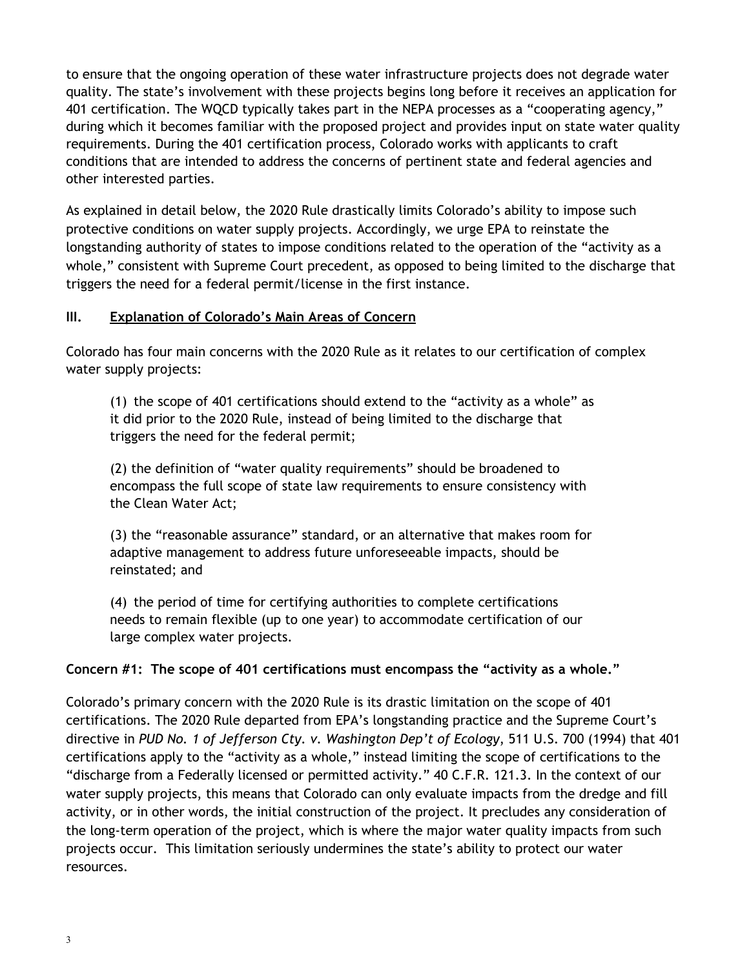to ensure that the ongoing operation of these water infrastructure projects does not degrade water quality. The state's involvement with these projects begins long before it receives an application for 401 certification. The WQCD typically takes part in the NEPA processes as a "cooperating agency," during which it becomes familiar with the proposed project and provides input on state water quality requirements. During the 401 certification process, Colorado works with applicants to craft conditions that are intended to address the concerns of pertinent state and federal agencies and other interested parties.

As explained in detail below, the 2020 Rule drastically limits Colorado's ability to impose such protective conditions on water supply projects. Accordingly, we urge EPA to reinstate the longstanding authority of states to impose conditions related to the operation of the "activity as a whole," consistent with Supreme Court precedent, as opposed to being limited to the discharge that triggers the need for a federal permit/license in the first instance.

### **III. Explanation of Colorado's Main Areas of Concern**

Colorado has four main concerns with the 2020 Rule as it relates to our certification of complex water supply projects:

(1) the scope of 401 certifications should extend to the "activity as a whole" as it did prior to the 2020 Rule, instead of being limited to the discharge that triggers the need for the federal permit;

(2) the definition of "water quality requirements" should be broadened to encompass the full scope of state law requirements to ensure consistency with the Clean Water Act;

(3) the "reasonable assurance" standard, or an alternative that makes room for adaptive management to address future unforeseeable impacts, should be reinstated; and

(4) the period of time for certifying authorities to complete certifications needs to remain flexible (up to one year) to accommodate certification of our large complex water projects.

**Concern #1: The scope of 401 certifications must encompass the "activity as a whole."**

Colorado's primary concern with the 2020 Rule is its drastic limitation on the scope of 401 certifications. The 2020 Rule departed from EPA's longstanding practice and the Supreme Court's directive in *PUD No. 1 of Jefferson Cty. v. Washington Dep't of Ecology*, 511 U.S. 700 (1994) that 401 certifications apply to the "activity as a whole," instead limiting the scope of certifications to the "discharge from a Federally licensed or permitted activity." 40 C.F.R. 121.3. In the context of our water supply projects, this means that Colorado can only evaluate impacts from the dredge and fill activity, or in other words, the initial construction of the project. It precludes any consideration of the long-term operation of the project, which is where the major water quality impacts from such projects occur. This limitation seriously undermines the state's ability to protect our water resources.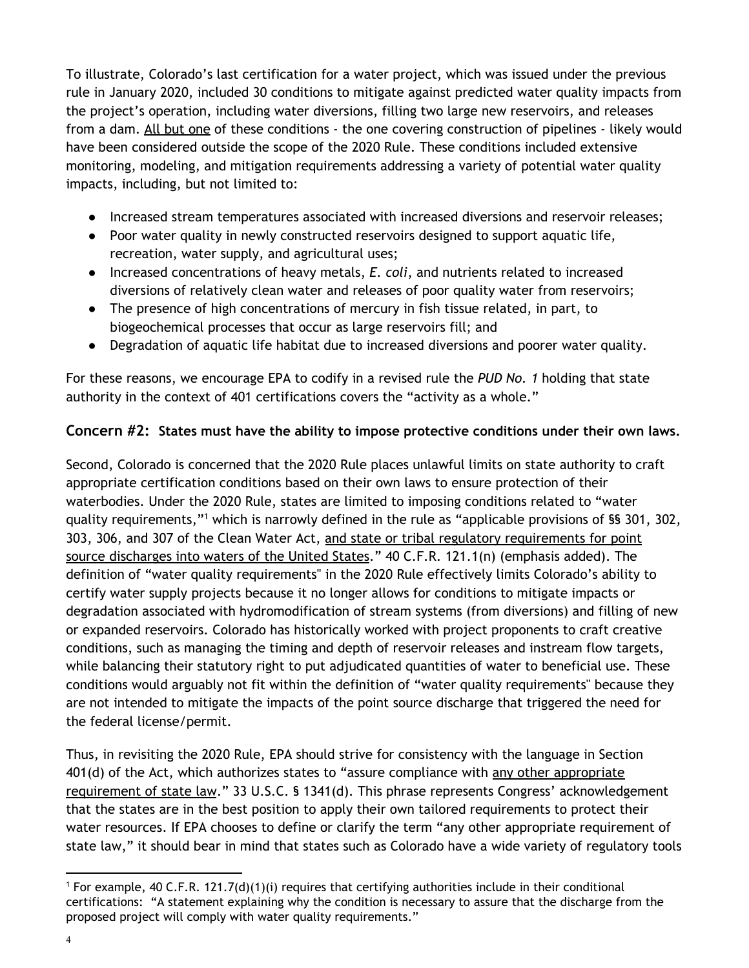To illustrate, Colorado's last certification for a water project, which was issued under the previous rule in January 2020, included 30 conditions to mitigate against predicted water quality impacts from the project's operation, including water diversions, filling two large new reservoirs, and releases from a dam. All but one of these conditions - the one covering construction of pipelines - likely would have been considered outside the scope of the 2020 Rule. These conditions included extensive monitoring, modeling, and mitigation requirements addressing a variety of potential water quality impacts, including, but not limited to:

- Increased stream temperatures associated with increased diversions and reservoir releases;
- Poor water quality in newly constructed reservoirs designed to support aquatic life, recreation, water supply, and agricultural uses;
- Increased concentrations of heavy metals, *E. coli*, and nutrients related to increased diversions of relatively clean water and releases of poor quality water from reservoirs;
- The presence of high concentrations of mercury in fish tissue related, in part, to biogeochemical processes that occur as large reservoirs fill; and
- Degradation of aquatic life habitat due to increased diversions and poorer water quality.

For these reasons, we encourage EPA to codify in a revised rule the *PUD No. 1* holding that state authority in the context of 401 certifications covers the "activity as a whole."

## **Concern #2: States must have the ability to impose protective conditions under their own laws.**

Second, Colorado is concerned that the 2020 Rule places unlawful limits on state authority to craft appropriate certification conditions based on their own laws to ensure protection of their waterbodies. Under the 2020 Rule, states are limited to imposing conditions related to "water quality requirements,"<sup>1</sup> which is narrowly defined in the rule as "applicable provisions of §§ 301, 302, 303, 306, and 307 of the Clean Water Act, and state or tribal regulatory requirements for point source discharges into waters of the United States." 40 C.F.R. 121.1(n) (emphasis added). The definition of "water quality requirements'' in the 2020 Rule effectively limits Colorado's ability to certify water supply projects because it no longer allows for conditions to mitigate impacts or degradation associated with hydromodification of stream systems (from diversions) and filling of new or expanded reservoirs. Colorado has historically worked with project proponents to craft creative conditions, such as managing the timing and depth of reservoir releases and instream flow targets, while balancing their statutory right to put adjudicated quantities of water to beneficial use. These conditions would arguably not fit within the definition of "water quality requirements'' because they are not intended to mitigate the impacts of the point source discharge that triggered the need for the federal license/permit.

Thus, in revisiting the 2020 Rule, EPA should strive for consistency with the language in Section 401(d) of the Act, which authorizes states to "assure compliance with any other appropriate requirement of state law." 33 U.S.C. § 1341(d). This phrase represents Congress' acknowledgement that the states are in the best position to apply their own tailored requirements to protect their water resources. If EPA chooses to define or clarify the term "any other appropriate requirement of state law," it should bear in mind that states such as Colorado have a wide variety of regulatory tools

<sup>&</sup>lt;sup>1</sup> For example, 40 C.F.R. 121.7(d)(1)(i) requires that certifying authorities include in their conditional certifications: "A statement explaining why the condition is necessary to assure that the discharge from the proposed project will comply with water quality requirements."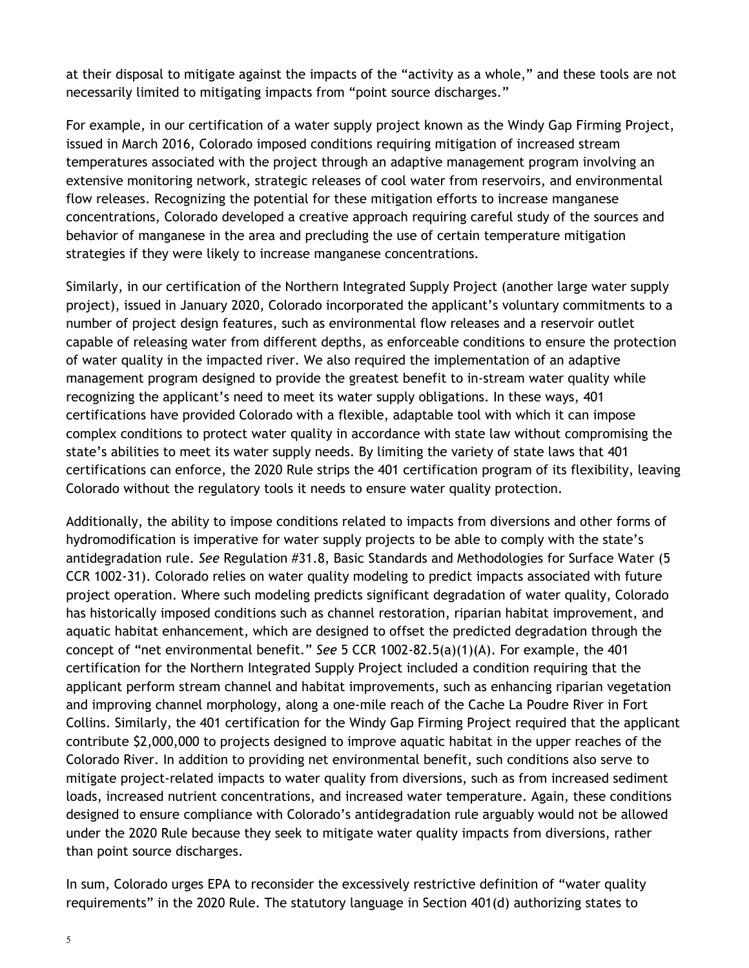at their disposal to mitigate against the impacts of the "activity as a whole," and these tools are not necessarily limited to mitigating impacts from "point source discharges."

For example, in our certification of a water supply project known as the Windy Gap Firming Project, issued in March 2016, Colorado imposed conditions requiring mitigation of increased stream temperatures associated with the project through an adaptive management program involving an extensive monitoring network, strategic releases of cool water from reservoirs, and environmental flow releases. Recognizing the potential for these mitigation efforts to increase manganese concentrations, Colorado developed a creative approach requiring careful study of the sources and behavior of manganese in the area and precluding the use of certain temperature mitigation strategies if they were likely to increase manganese concentrations.

Similarly, in our certification of the Northern Integrated Supply Project (another large water supply project), issued in January 2020, Colorado incorporated the applicant's voluntary commitments to a number of project design features, such as environmental flow releases and a reservoir outlet capable of releasing water from different depths, as enforceable conditions to ensure the protection of water quality in the impacted river. We also required the implementation of an adaptive management program designed to provide the greatest benefit to in-stream water quality while recognizing the applicant's need to meet its water supply obligations. In these ways, 401 certifications have provided Colorado with a flexible, adaptable tool with which it can impose complex conditions to protect water quality in accordance with state law without compromising the state's abilities to meet its water supply needs. By limiting the variety of state laws that 401 certifications can enforce, the 2020 Rule strips the 401 certification program of its flexibility, leaving Colorado without the regulatory tools it needs to ensure water quality protection.

Additionally, the ability to impose conditions related to impacts from diversions and other forms of hydromodification is imperative for water supply projects to be able to comply with the state's antidegradation rule. *See* Regulation #31.8, Basic Standards and Methodologies for Surface Water (5 CCR 1002-31). Colorado relies on water quality modeling to predict impacts associated with future project operation. Where such modeling predicts significant degradation of water quality, Colorado has historically imposed conditions such as channel restoration, riparian habitat improvement, and aquatic habitat enhancement, which are designed to offset the predicted degradation through the concept of "net environmental benefit." *See* 5 CCR 1002-82.5(a)(1)(A). For example, the 401 certification for the Northern Integrated Supply Project included a condition requiring that the applicant perform stream channel and habitat improvements, such as enhancing riparian vegetation and improving channel morphology, along a one-mile reach of the Cache La Poudre River in Fort Collins. Similarly, the 401 certification for the Windy Gap Firming Project required that the applicant contribute \$2,000,000 to projects designed to improve aquatic habitat in the upper reaches of the Colorado River. In addition to providing net environmental benefit, such conditions also serve to mitigate project-related impacts to water quality from diversions, such as from increased sediment loads, increased nutrient concentrations, and increased water temperature. Again, these conditions designed to ensure compliance with Colorado's antidegradation rule arguably would not be allowed under the 2020 Rule because they seek to mitigate water quality impacts from diversions, rather than point source discharges.

In sum, Colorado urges EPA to reconsider the excessively restrictive definition of "water quality requirements" in the 2020 Rule. The statutory language in Section 401(d) authorizing states to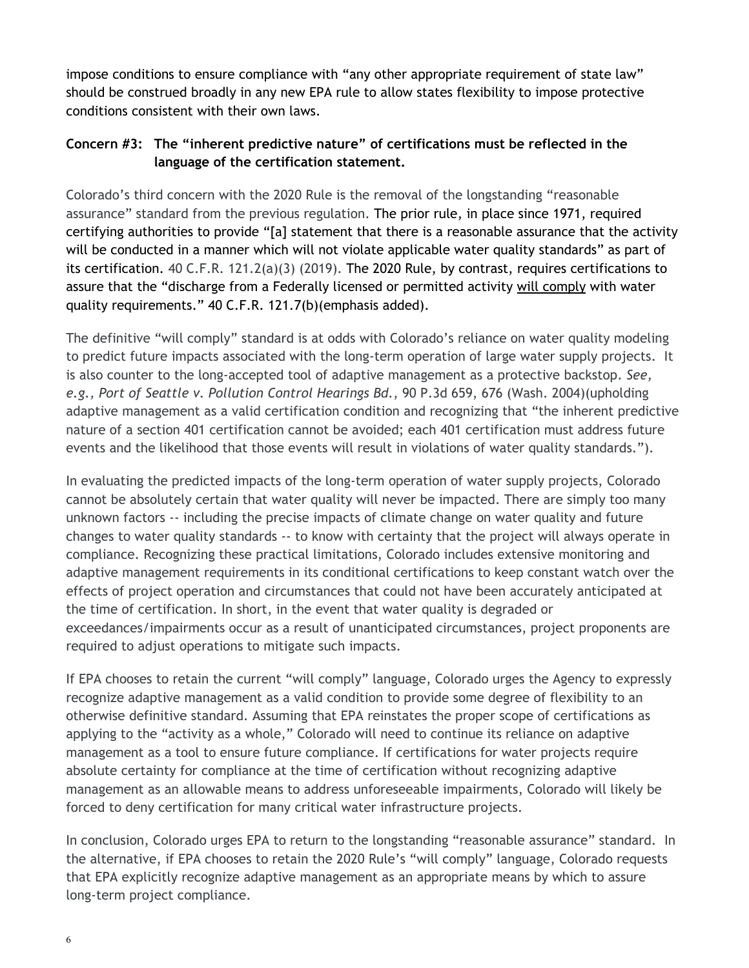impose conditions to ensure compliance with "any other appropriate requirement of state law" should be construed broadly in any new EPA rule to allow states flexibility to impose protective conditions consistent with their own laws.

# **Concern #3: The "inherent predictive nature" of certifications must be reflected in the language of the certification statement.**

Colorado's third concern with the 2020 Rule is the removal of the longstanding "reasonable assurance" standard from the previous regulation. The prior rule, in place since 1971, required certifying authorities to provide "[a] statement that there is a reasonable assurance that the activity will be conducted in a manner which will not violate applicable water quality standards" as part of its certification. 40 C.F.R. 121.2(a)(3) (2019). The 2020 Rule, by contrast, requires certifications to assure that the "discharge from a Federally licensed or permitted activity will comply with water quality requirements." 40 C.F.R. 121.7(b)(emphasis added).

The definitive "will comply" standard is at odds with Colorado's reliance on water quality modeling to predict future impacts associated with the long-term operation of large water supply projects. It is also counter to the long-accepted tool of adaptive management as a protective backstop. *See, e.g., Port of Seattle v. Pollution Control Hearings Bd.*, 90 P.3d 659, 676 (Wash. 2004)(upholding adaptive management as a valid certification condition and recognizing that "the inherent predictive nature of a section 401 certification cannot be avoided; each 401 certification must address future events and the likelihood that those events will result in violations of water quality standards.").

In evaluating the predicted impacts of the long-term operation of water supply projects, Colorado cannot be absolutely certain that water quality will never be impacted. There are simply too many unknown factors -- including the precise impacts of climate change on water quality and future changes to water quality standards -- to know with certainty that the project will always operate in compliance. Recognizing these practical limitations, Colorado includes extensive monitoring and adaptive management requirements in its conditional certifications to keep constant watch over the effects of project operation and circumstances that could not have been accurately anticipated at the time of certification. In short, in the event that water quality is degraded or exceedances/impairments occur as a result of unanticipated circumstances, project proponents are required to adjust operations to mitigate such impacts.

If EPA chooses to retain the current "will comply" language, Colorado urges the Agency to expressly recognize adaptive management as a valid condition to provide some degree of flexibility to an otherwise definitive standard. Assuming that EPA reinstates the proper scope of certifications as applying to the "activity as a whole," Colorado will need to continue its reliance on adaptive management as a tool to ensure future compliance. If certifications for water projects require absolute certainty for compliance at the time of certification without recognizing adaptive management as an allowable means to address unforeseeable impairments, Colorado will likely be forced to deny certification for many critical water infrastructure projects.

In conclusion, Colorado urges EPA to return to the longstanding "reasonable assurance" standard. In the alternative, if EPA chooses to retain the 2020 Rule's "will comply" language, Colorado requests that EPA explicitly recognize adaptive management as an appropriate means by which to assure long-term project compliance.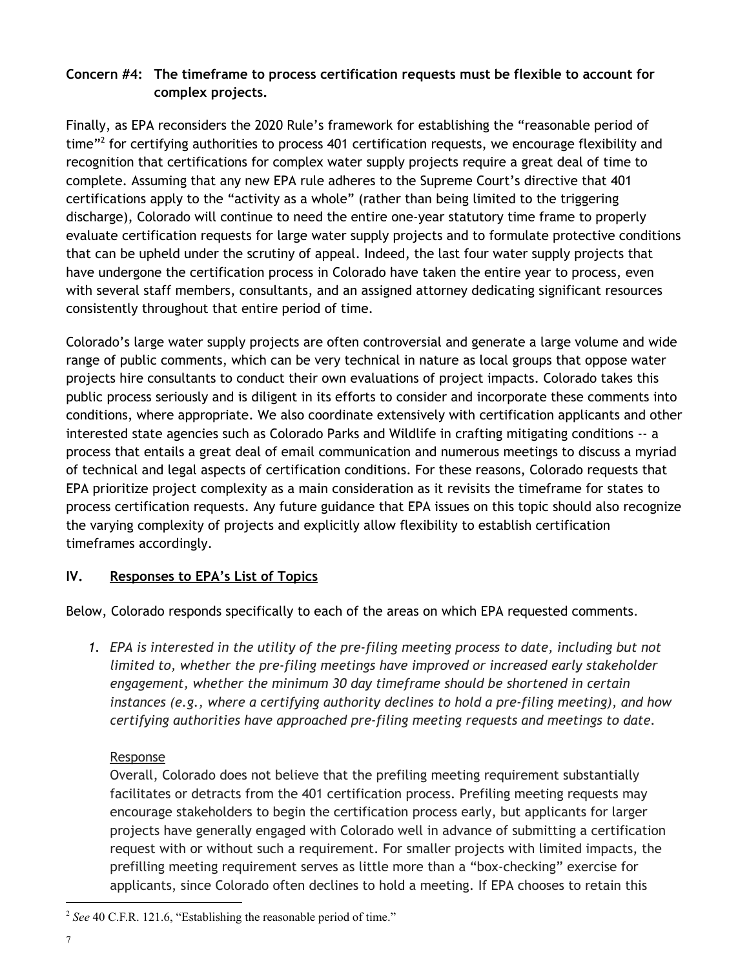# **Concern #4: The timeframe to process certification requests must be flexible to account for complex projects.**

Finally, as EPA reconsiders the 2020 Rule's framework for establishing the "reasonable period of time"<sup>2</sup> for certifying authorities to process 401 certification requests, we encourage flexibility and recognition that certifications for complex water supply projects require a great deal of time to complete. Assuming that any new EPA rule adheres to the Supreme Court's directive that 401 certifications apply to the "activity as a whole" (rather than being limited to the triggering discharge), Colorado will continue to need the entire one-year statutory time frame to properly evaluate certification requests for large water supply projects and to formulate protective conditions that can be upheld under the scrutiny of appeal. Indeed, the last four water supply projects that have undergone the certification process in Colorado have taken the entire year to process, even with several staff members, consultants, and an assigned attorney dedicating significant resources consistently throughout that entire period of time.

Colorado's large water supply projects are often controversial and generate a large volume and wide range of public comments, which can be very technical in nature as local groups that oppose water projects hire consultants to conduct their own evaluations of project impacts. Colorado takes this public process seriously and is diligent in its efforts to consider and incorporate these comments into conditions, where appropriate. We also coordinate extensively with certification applicants and other interested state agencies such as Colorado Parks and Wildlife in crafting mitigating conditions -- a process that entails a great deal of email communication and numerous meetings to discuss a myriad of technical and legal aspects of certification conditions. For these reasons, Colorado requests that EPA prioritize project complexity as a main consideration as it revisits the timeframe for states to process certification requests. Any future guidance that EPA issues on this topic should also recognize the varying complexity of projects and explicitly allow flexibility to establish certification timeframes accordingly.

# **IV. Responses to EPA's List of Topics**

Below, Colorado responds specifically to each of the areas on which EPA requested comments.

*1. EPA is interested in the utility of the pre-filing meeting process to date, including but not limited to, whether the pre-filing meetings have improved or increased early stakeholder engagement, whether the minimum 30 day timeframe should be shortened in certain instances (e.g., where a certifying authority declines to hold a pre-filing meeting), and how certifying authorities have approached pre-filing meeting requests and meetings to date.*

## Response

Overall, Colorado does not believe that the prefiling meeting requirement substantially facilitates or detracts from the 401 certification process. Prefiling meeting requests may encourage stakeholders to begin the certification process early, but applicants for larger projects have generally engaged with Colorado well in advance of submitting a certification request with or without such a requirement. For smaller projects with limited impacts, the prefilling meeting requirement serves as little more than a "box-checking" exercise for applicants, since Colorado often declines to hold a meeting. If EPA chooses to retain this

<sup>&</sup>lt;sup>2</sup> See 40 C.F.R. 121.6, "Establishing the reasonable period of time."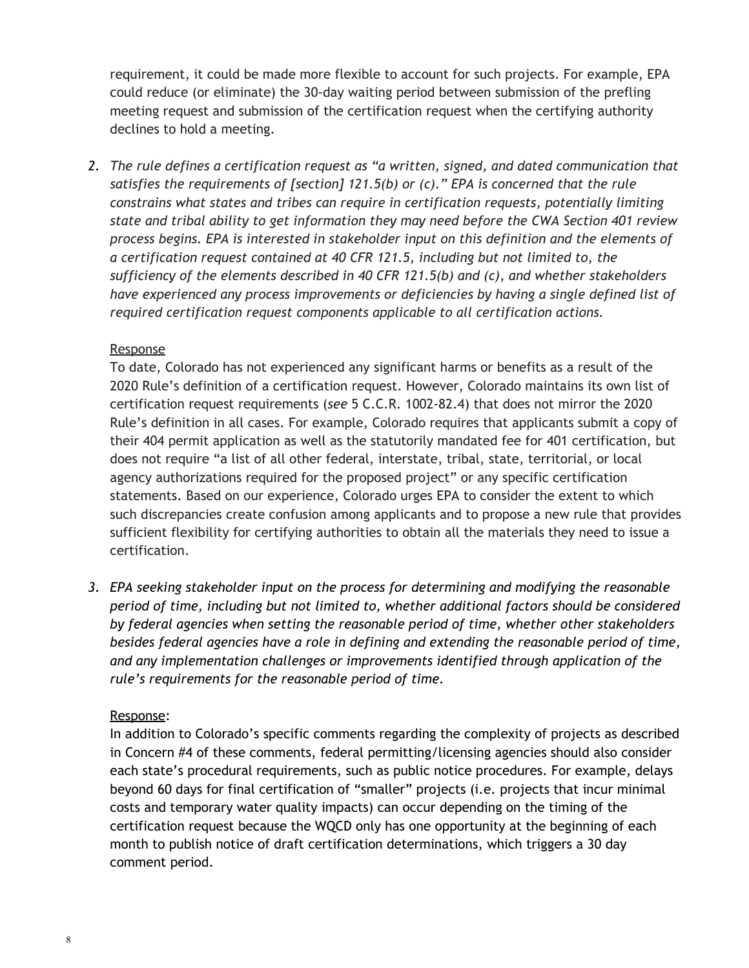requirement, it could be made more flexible to account for such projects. For example, EPA could reduce (or eliminate) the 30-day waiting period between submission of the prefling meeting request and submission of the certification request when the certifying authority declines to hold a meeting.

*2. The rule defines a certification request as "a written, signed, and dated communication that satisfies the requirements of [section] 121.5(b) or (c)." EPA is concerned that the rule constrains what states and tribes can require in certification requests, potentially limiting state and tribal ability to get information they may need before the CWA Section 401 review process begins. EPA is interested in stakeholder input on this definition and the elements of a certification request contained at 40 CFR 121.5, including but not limited to, the sufficiency of the elements described in 40 CFR 121.5(b) and (c), and whether stakeholders have experienced any process improvements or deficiencies by having a single defined list of required certification request components applicable to all certification actions.*

#### Response

To date, Colorado has not experienced any significant harms or benefits as a result of the 2020 Rule's definition of a certification request. However, Colorado maintains its own list of certification request requirements (*see* 5 C.C.R. 1002-82.4) that does not mirror the 2020 Rule's definition in all cases. For example, Colorado requires that applicants submit a copy of their 404 permit application as well as the statutorily mandated fee for 401 certification, but does not require "a list of all other federal, interstate, tribal, state, territorial, or local agency authorizations required for the proposed project" or any specific certification statements. Based on our experience, Colorado urges EPA to consider the extent to which such discrepancies create confusion among applicants and to propose a new rule that provides sufficient flexibility for certifying authorities to obtain all the materials they need to issue a certification.

*3. EPA seeking stakeholder input on the process for determining and modifying the reasonable period of time, including but not limited to, whether additional factors should be considered by federal agencies when setting the reasonable period of time, whether other stakeholders besides federal agencies have a role in defining and extending the reasonable period of time, and any implementation challenges or improvements identified through application of the rule's requirements for the reasonable period of time.*

## Response:

In addition to Colorado's specific comments regarding the complexity of projects as described in Concern #4 of these comments, federal permitting/licensing agencies should also consider each state's procedural requirements, such as public notice procedures. For example, delays beyond 60 days for final certification of "smaller" projects (i.e. projects that incur minimal costs and temporary water quality impacts) can occur depending on the timing of the certification request because the WQCD only has one opportunity at the beginning of each month to publish notice of draft certification determinations, which triggers a 30 day comment period.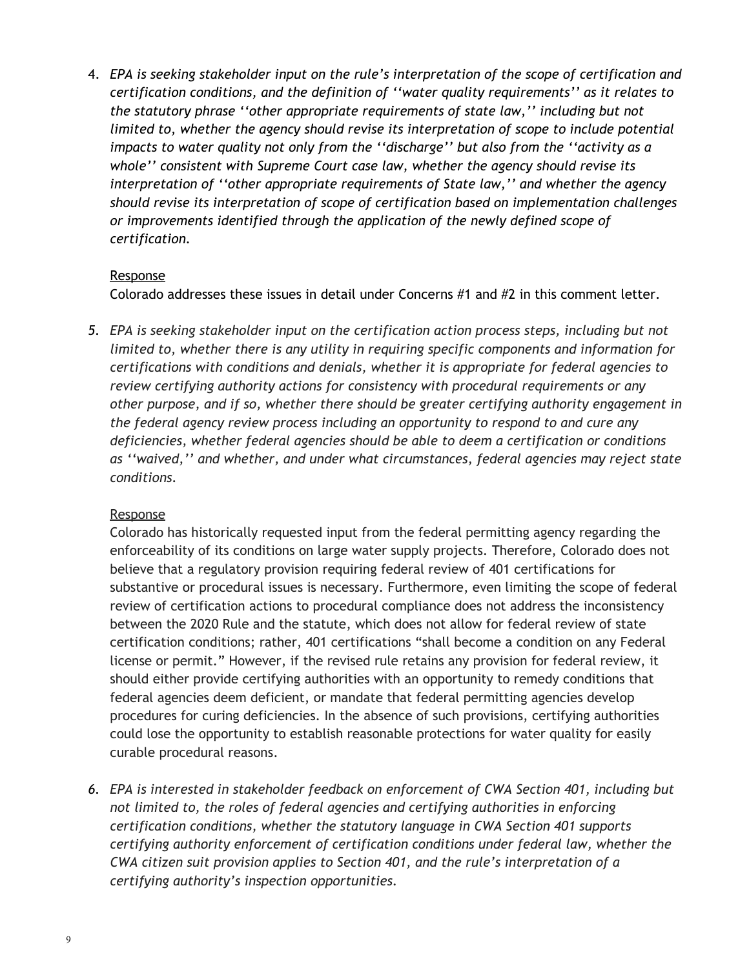4. *EPA is seeking stakeholder input on the rule's interpretation of the scope of certification and certification conditions, and the definition of ''water quality requirements'' as it relates to the statutory phrase ''other appropriate requirements of state law,'' including but not limited to, whether the agency should revise its interpretation of scope to include potential impacts to water quality not only from the ''discharge'' but also from the ''activity as a whole'' consistent with Supreme Court case law, whether the agency should revise its interpretation of ''other appropriate requirements of State law,'' and whether the agency should revise its interpretation of scope of certification based on implementation challenges or improvements identified through the application of the newly defined scope of certification.*

### **Response**

Colorado addresses these issues in detail under Concerns #1 and #2 in this comment letter.

*5. EPA is seeking stakeholder input on the certification action process steps, including but not limited to, whether there is any utility in requiring specific components and information for certifications with conditions and denials, whether it is appropriate for federal agencies to review certifying authority actions for consistency with procedural requirements or any other purpose, and if so, whether there should be greater certifying authority engagement in the federal agency review process including an opportunity to respond to and cure any deficiencies, whether federal agencies should be able to deem a certification or conditions as ''waived,'' and whether, and under what circumstances, federal agencies may reject state conditions.*

## Response

Colorado has historically requested input from the federal permitting agency regarding the enforceability of its conditions on large water supply projects. Therefore, Colorado does not believe that a regulatory provision requiring federal review of 401 certifications for substantive or procedural issues is necessary. Furthermore, even limiting the scope of federal review of certification actions to procedural compliance does not address the inconsistency between the 2020 Rule and the statute, which does not allow for federal review of state certification conditions; rather, 401 certifications "shall become a condition on any Federal license or permit." However, if the revised rule retains any provision for federal review, it should either provide certifying authorities with an opportunity to remedy conditions that federal agencies deem deficient, or mandate that federal permitting agencies develop procedures for curing deficiencies. In the absence of such provisions, certifying authorities could lose the opportunity to establish reasonable protections for water quality for easily curable procedural reasons.

*6. EPA is interested in stakeholder feedback on enforcement of CWA Section 401, including but not limited to, the roles of federal agencies and certifying authorities in enforcing certification conditions, whether the statutory language in CWA Section 401 supports certifying authority enforcement of certification conditions under federal law, whether the CWA citizen suit provision applies to Section 401, and the rule's interpretation of a certifying authority's inspection opportunities.*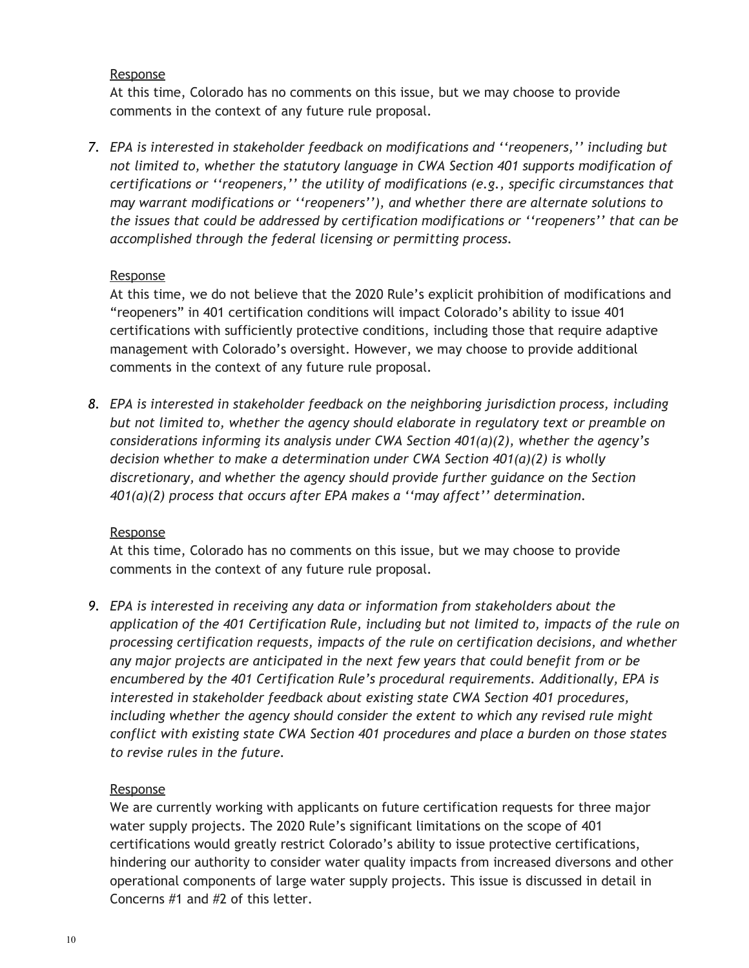#### Response

At this time, Colorado has no comments on this issue, but we may choose to provide comments in the context of any future rule proposal.

*7. EPA is interested in stakeholder feedback on modifications and ''reopeners,'' including but not limited to, whether the statutory language in CWA Section 401 supports modification of certifications or ''reopeners,'' the utility of modifications (e.g., specific circumstances that may warrant modifications or ''reopeners''), and whether there are alternate solutions to the issues that could be addressed by certification modifications or ''reopeners'' that can be accomplished through the federal licensing or permitting process.*

### Response

At this time, we do not believe that the 2020 Rule's explicit prohibition of modifications and "reopeners" in 401 certification conditions will impact Colorado's ability to issue 401 certifications with sufficiently protective conditions, including those that require adaptive management with Colorado's oversight. However, we may choose to provide additional comments in the context of any future rule proposal.

*8. EPA is interested in stakeholder feedback on the neighboring jurisdiction process, including but not limited to, whether the agency should elaborate in regulatory text or preamble on considerations informing its analysis under CWA Section 401(a)(2), whether the agency's decision whether to make a determination under CWA Section 401(a)(2) is wholly discretionary, and whether the agency should provide further guidance on the Section 401(a)(2) process that occurs after EPA makes a ''may affect'' determination.*

#### Response

At this time, Colorado has no comments on this issue, but we may choose to provide comments in the context of any future rule proposal.

*9. EPA is interested in receiving any data or information from stakeholders about the application of the 401 Certification Rule, including but not limited to, impacts of the rule on processing certification requests, impacts of the rule on certification decisions, and whether any major projects are anticipated in the next few years that could benefit from or be encumbered by the 401 Certification Rule's procedural requirements. Additionally, EPA is interested in stakeholder feedback about existing state CWA Section 401 procedures, including whether the agency should consider the extent to which any revised rule might conflict with existing state CWA Section 401 procedures and place a burden on those states to revise rules in the future.*

## Response

We are currently working with applicants on future certification requests for three major water supply projects. The 2020 Rule's significant limitations on the scope of 401 certifications would greatly restrict Colorado's ability to issue protective certifications, hindering our authority to consider water quality impacts from increased diversons and other operational components of large water supply projects. This issue is discussed in detail in Concerns #1 and #2 of this letter.